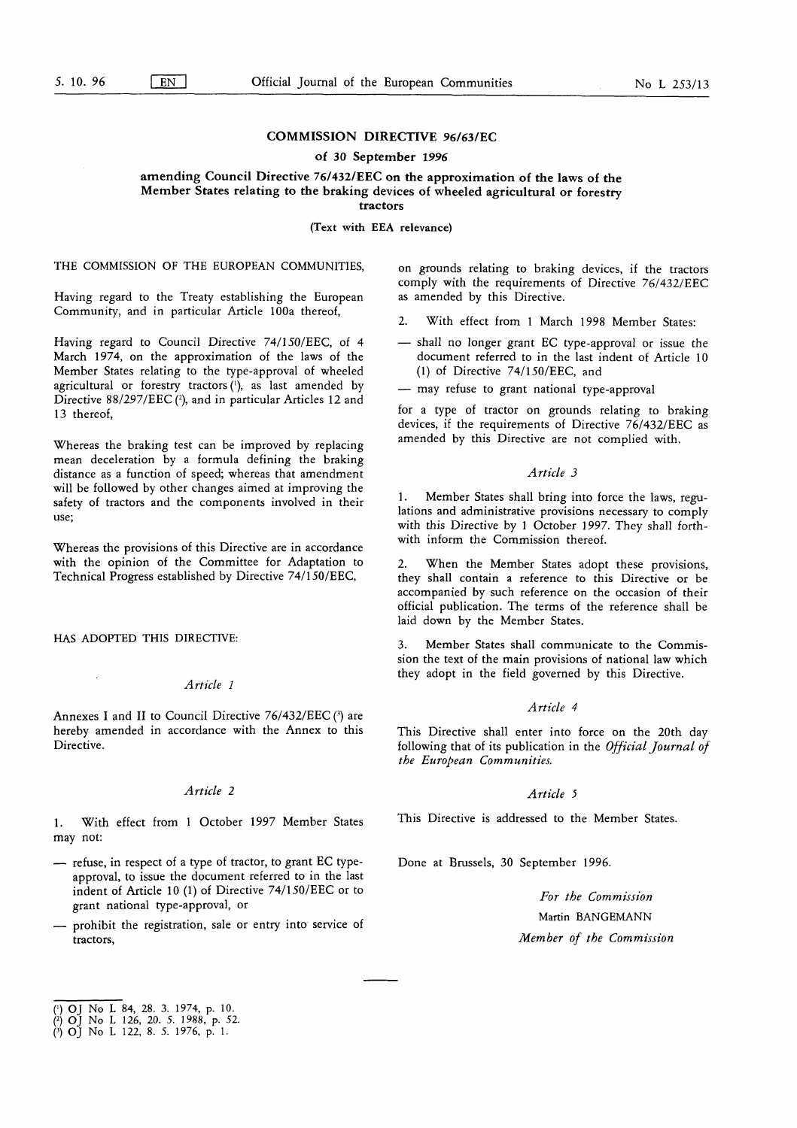# COMMISSION DIRECTIVE 96/63/EC

## of 30 September 1996

# amending Council Directive 76/432/EEC on the approximation of the laws of the Member States relating to the braking devices of wheeled agricultural or forestry

tractors

(Text with EEA relevance)

# THE COMMISSION OF THE EUROPEAN COMMUNITIES,

Having regard to the Treaty establishing the European Community, and in particular Article 100a thereof,

Having regard to Council Directive 74/150/EEC, of 4 March 1974, on the approximation of the laws of the Member States relating to the type-approval of wheeled agricultural or forestry tractors ('), as last amended by Directive 88/297/EEC (2), and in particular Articles 12 and 13 thereof,

Whereas the braking test can be improved by replacing mean deceleration by a formula defining the braking distance as a function of speed; whereas that amendment will be followed by other changes aimed at improving the safety of tractors and the components involved in their use;

Whereas the provisions of this Directive are in accordance with the opinion of the Committee for Adaptation to Technical Progress established by Directive 74/150/EEC,

HAS ADOPTED THIS DIRECTIVE:

## Article <sup>1</sup>

Annexes I and II to Council Directive  $76/432/EEC$  (3) are hereby amended in accordance with the Annex to this Directive.

# Article 2

1. With effect from 1 October 1997 Member States may not:

- refuse, in respect of a type of tractor, to grant EC typeapproval, to issue the document referred to in the last indent of Article 10 (1) of Directive  $74/150/EEC$  or to grant national type-approval, or
- prohibit the registration, sale or entry into service of tractors,

on grounds relating to braking devices, if the tractors comply with the requirements of Directive 76/432/EEC as amended by this Directive.

- 2. With effect from <sup>1</sup> March 1998 Member States:
- shall no longer grant EC type-approval or issue the document referred to in the last indent of Article 10 (1) of Directive  $74/150/EEC$ , and
- may refuse to grant national type-approval

for a type of tractor on grounds relating to braking devices, if the requirements of Directive 76/432/EEC as amended by this Directive are not complied with.

#### Article 3

1. Member States shall bring into force the laws, regulations and administrative provisions necessary to comply with this Directive by <sup>1</sup> October 1997. They shall forthwith inform the Commission thereof.

When the Member States adopt these provisions, they shall contain a reference to this Directive or be accompanied by such reference on the occasion of their official publication. The terms of the reference shall be laid down by the Member States.

3. Member States shall communicate to the Commission the text of the main provisions of national law which they adopt in the field governed by this Directive.

## Article 4

This Directive shall enter into force on the 20th day following that of its publication in the Official Journal of the European Communities.

## Article <sup>5</sup>

This Directive is addressed to the Member States.

Done at Brussels, 30 September 1996.

For the Commission Martin BANGEMANN Member of the Commission

<sup>(&#</sup>x27;) OJ No L 84, 28 . 3. 1974, p. 10 .

<sup>(2)</sup> OJ No L 126, 20. 5. 1988, p. 52. 0 OJ No <sup>L</sup> 122, <sup>8</sup> . 5. 1976, p. <sup>1</sup> .